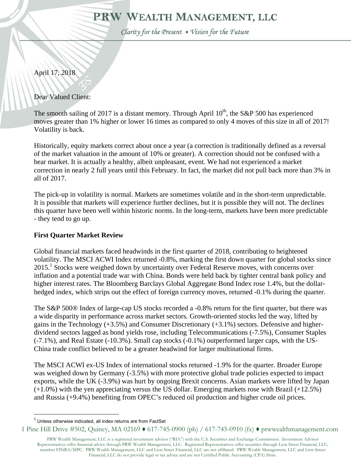# PRW WEALTH MANAGEMENT, LLC

Clarity for the Present . Vision for the Future

# April 17, 2018

Dear Valued Client:

The smooth sailing of 2017 is a distant memory. Through April  $10^{th}$ , the S&P 500 has experienced moves greater than 1% higher or lower 16 times as compared to only 4 moves of this size in all of 2017! Volatility is back.

Historically, equity markets correct about once a year (a correction is traditionally defined as a reversal of the market valuation in the amount of 10% or greater). A correction should not be confused with a bear market. It is actually a healthy, albeit unpleasant, event. We had not experienced a market correction in nearly 2 full years until this February. In fact, the market did not pull back more than 3% in all of 2017.

The pick-up in volatility is normal. Markets are sometimes volatile and in the short-term unpredictable. It is possible that markets will experience further declines, but it is possible they will not. The declines this quarter have been well within historic norms. In the long-term, markets have been more predictable - they tend to go up.

# **First Quarter Market Review**

Global financial markets faced headwinds in the first quarter of 2018, contributing to heightened volatility. The MSCI ACWI Index returned -0.8%, marking the first down quarter for global stocks since 2015.<sup>1</sup> Stocks were weighed down by uncertainty over Federal Reserve moves, with concerns over inflation and a potential trade war with China. Bonds were held back by tighter central bank policy and higher interest rates. The Bloomberg Barclays Global Aggregate Bond Index rose 1.4%, but the dollarhedged index, which strips out the effect of foreign currency moves, returned -0.1% during the quarter.

The S&P 500® Index of large-cap US stocks recorded a -0.8% return for the first quarter, but there was a wide disparity in performance across market sectors. Growth-oriented stocks led the way, lifted by gains in the Technology  $(+3.5\%)$  and Consumer Discretionary  $(+3.1\%)$  sectors. Defensive and higherdividend sectors lagged as bond yields rose, including Telecommunications (-7.5%), Consumer Staples (-7.1%), and Real Estate (-10.3%). Small cap stocks (-0.1%) outperformed larger caps, with the US-China trade conflict believed to be a greater headwind for larger multinational firms.

The MSCI ACWI ex-US Index of international stocks returned -1.9% for the quarter. Broader Europe was weighed down by Germany (-3.5%) with more protective global trade policies expected to impact exports, while the UK (-3.9%) was hurt by ongoing Brexit concerns. Asian markets were lifted by Japan (+1.0%) with the yen appreciating versus the US dollar. Emerging markets rose with Brazil (+12.5%) and Russia (+9.4%) benefiting from OPEC's reduced oil production and higher crude oil prices.

 $\overline{a}$ 

PRW Wealth Management, LLC is a registered investment advisor ("RIA") with the U.S. Securities and Exchange Commission. Investment Advisor Representatives offer financial advice through PRW Wealth Management, LLC. Registered Representatives offer securities through Lion Street Financial, LLC; member FINRA/SIPC. PRW Wealth Management, LLC and Lion Street Financial, LLC are not affiliated. PRW Wealth Management, LLC and Lion Street Financial, LLC do not provide legal or tax advice and are not Certified Public Accounting (CPA) firms.

 $1$  Unless otherwise indicated, all index returns are from FactSet

<sup>1</sup> Pine Hill Drive #502, Quincy, MA 02169 ♦ 617-745-0900 (ph) / 617-745-0910 (fx) ♦ prwwealthmanagement.com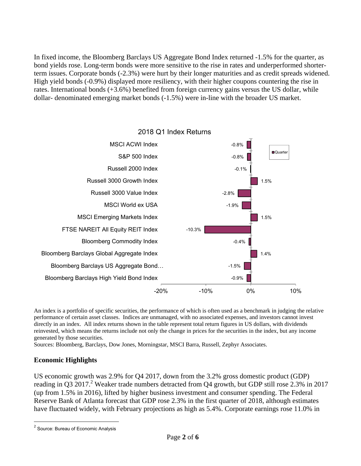In fixed income, the Bloomberg Barclays US Aggregate Bond Index returned -1.5% for the quarter, as bond yields rose. Long-term bonds were more sensitive to the rise in rates and underperformed shorterterm issues. Corporate bonds (-2.3%) were hurt by their longer maturities and as credit spreads widened. High yield bonds (-0.9%) displayed more resiliency, with their higher coupons countering the rise in rates. International bonds (+3.6%) benefited from foreign currency gains versus the US dollar, while dollar- denominated emerging market bonds (-1.5%) were in-line with the broader US market.



An index is a portfolio of specific securities, the performance of which is often used as a benchmark in judging the relative performance of certain asset classes. Indices are unmanaged, with no associated expenses, and investors cannot invest directly in an index. All index returns shown in the table represent total return figures in US dollars, with dividends reinvested, which means the returns include not only the change in prices for the securities in the index, but any income generated by those securities.

Sources: Bloomberg, Barclays, Dow Jones, Morningstar, MSCI Barra, Russell, Zephyr Associates.

#### **Economic Highlights**

US economic growth was 2.9% for Q4 2017, down from the 3.2% gross domestic product (GDP) reading in Q3 2017.<sup>2</sup> Weaker trade numbers detracted from Q4 growth, but GDP still rose 2.3% in 2017 (up from 1.5% in 2016), lifted by higher business investment and consumer spending. The Federal Reserve Bank of Atlanta forecast that GDP rose 2.3% in the first quarter of 2018, although estimates have fluctuated widely, with February projections as high as 5.4%. Corporate earnings rose 11.0% in

 $\overline{a}$ 

<sup>&</sup>lt;sup>2</sup> Source: Bureau of Economic Analysis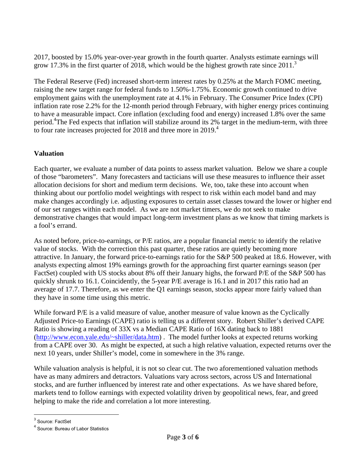2017, boosted by 15.0% year-over-year growth in the fourth quarter. Analysts estimate earnings will grow 17.3% in the first quarter of 2018, which would be the highest growth rate since  $2011$ .<sup>3</sup>

The Federal Reserve (Fed) increased short-term interest rates by 0.25% at the March FOMC meeting, raising the new target range for federal funds to 1.50%-1.75%. Economic growth continued to drive employment gains with the unemployment rate at 4.1% in February. The Consumer Price Index (CPI) inflation rate rose 2.2% for the 12-month period through February, with higher energy prices continuing to have a measurable impact. Core inflation (excluding food and energy) increased 1.8% over the same period.<sup>4</sup>The Fed expects that inflation will stabilize around its 2% target in the medium-term, with three to four rate increases projected for 2018 and three more in  $2019<sup>4</sup>$ 

## **Valuation**

Each quarter, we evaluate a number of data points to assess market valuation. Below we share a couple of those "barometers". Many forecasters and tacticians will use these measures to influence their asset allocation decisions for short and medium term decisions. We, too, take these into account when thinking about our portfolio model weightings with respect to risk within each model band and may make changes accordingly i.e. adjusting exposures to certain asset classes toward the lower or higher end of our set ranges within each model. As we are not market timers, we do not seek to make demonstrative changes that would impact long-term investment plans as we know that timing markets is a fool's errand.

As noted before, price-to-earnings, or P/E ratios, are a popular financial metric to identify the relative value of stocks. With the correction this past quarter, these ratios are quietly becoming more attractive. In January, the forward price-to-earnings ratio for the S&P 500 peaked at 18.6. However, with analysts expecting almost 19% earnings growth for the approaching first quarter earnings season (per FactSet) coupled with US stocks about 8% off their January highs, the forward P/E of the S&P 500 has quickly shrunk to 16.1. Coincidently, the 5-year P/E average is 16.1 and in 2017 this ratio had an average of 17.7. Therefore, as we enter the Q1 earnings season, stocks appear more fairly valued than they have in some time using this metric.

While forward P/E is a valid measure of value, another measure of value known as the Cyclically Adjusted Price-to Earnings (CAPE) ratio is telling us a different story. Robert Shiller's derived CAPE Ratio is showing a reading of 33X vs a Median CAPE Ratio of 16X dating back to 1881 (http://www.econ.yale.edu/~shiller/data.htm) . The model further looks at expected returns working from a CAPE over 30. As might be expected, at such a high relative valuation, expected returns over the next 10 years, under Shiller's model, come in somewhere in the 3% range.

While valuation analysis is helpful, it is not so clear cut. The two aforementioned valuation methods have as many admirers and detractors. Valuations vary across sectors, across US and International stocks, and are further influenced by interest rate and other expectations. As we have shared before, markets tend to follow earnings with expected volatility driven by geopolitical news, fear, and greed helping to make the ride and correlation a lot more interesting.

 $\overline{a}$ 

<sup>&</sup>lt;sup>3</sup> Source: FactSet

<sup>4</sup> Source: Bureau of Labor Statistics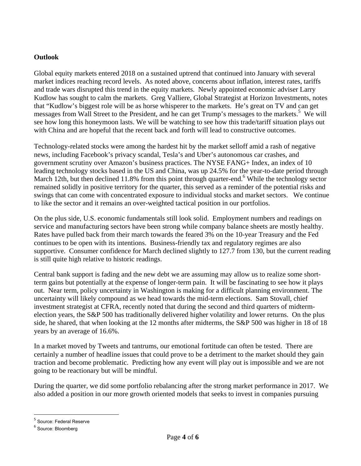### **Outlook**

Global equity markets entered 2018 on a sustained uptrend that continued into January with several market indices reaching record levels. As noted above, concerns about inflation, interest rates, tariffs and trade wars disrupted this trend in the equity markets. Newly appointed economic adviser Larry Kudlow has sought to calm the markets. Greg Valliere, Global Strategist at Horizon Investments, notes that "Kudlow's biggest role will be as horse whisperer to the markets. He's great on TV and can get messages from Wall Street to the President, and he can get Trump's messages to the markets.<sup>5</sup> We will see how long this honeymoon lasts. We will be watching to see how this trade/tariff situation plays out with China and are hopeful that the recent back and forth will lead to constructive outcomes.

Technology-related stocks were among the hardest hit by the market selloff amid a rash of negative news, including Facebook's privacy scandal, Tesla's and Uber's autonomous car crashes, and government scrutiny over Amazon's business practices. The NYSE FANG+ Index, an index of 10 leading technology stocks based in the US and China, was up 24.5% for the year-to-date period through March 12th, but then declined 11.8% from this point through quarter-end.<sup>6</sup> While the technology sector remained solidly in positive territory for the quarter, this served as a reminder of the potential risks and swings that can come with concentrated exposure to individual stocks and market sectors. We continue to like the sector and it remains an over-weighted tactical position in our portfolios.

On the plus side, U.S. economic fundamentals still look solid. Employment numbers and readings on service and manufacturing sectors have been strong while company balance sheets are mostly healthy. Rates have pulled back from their march towards the feared 3% on the 10-year Treasury and the Fed continues to be open with its intentions. Business-friendly tax and regulatory regimes are also supportive. Consumer confidence for March declined slightly to 127.7 from 130, but the current reading is still quite high relative to historic readings.

Central bank support is fading and the new debt we are assuming may allow us to realize some shortterm gains but potentially at the expense of longer-term pain. It will be fascinating to see how it plays out. Near term, policy uncertainty in Washington is making for a difficult planning environment. The uncertainty will likely compound as we head towards the mid-term elections. Sam Stovall, chief investment strategist at CFRA, recently noted that during the second and third quarters of midtermelection years, the S&P 500 has traditionally delivered higher volatility and lower returns. On the plus side, he shared, that when looking at the 12 months after midterms, the S&P 500 was higher in 18 of 18 years by an average of 16.6%.

In a market moved by Tweets and tantrums, our emotional fortitude can often be tested. There are certainly a number of headline issues that could prove to be a detriment to the market should they gain traction and become problematic. Predicting how any event will play out is impossible and we are not going to be reactionary but will be mindful.

During the quarter, we did some portfolio rebalancing after the strong market performance in 2017. We also added a position in our more growth oriented models that seeks to invest in companies pursuing

 $\overline{a}$ 

<sup>&</sup>lt;sup>5</sup> Source: Federal Reserve

<sup>6</sup> Source: Bloomberg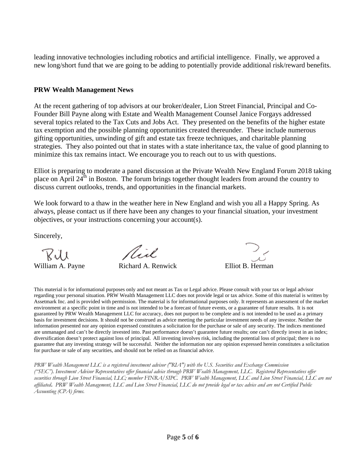leading innovative technologies including robotics and artificial intelligence. Finally, we approved a new long/short fund that we are going to be adding to potentially provide additional risk/reward benefits.

### **PRW Wealth Management News**

At the recent gathering of top advisors at our broker/dealer, Lion Street Financial, Principal and Co-Founder Bill Payne along with Estate and Wealth Management Counsel Janice Forgays addressed several topics related to the Tax Cuts and Jobs Act. They presented on the benefits of the higher estate tax exemption and the possible planning opportunities created thereunder. These include numerous gifting opportunities, unwinding of gift and estate tax freeze techniques, and charitable planning strategies. They also pointed out that in states with a state inheritance tax, the value of good planning to minimize this tax remains intact. We encourage you to reach out to us with questions.

Elliot is preparing to moderate a panel discussion at the Private Wealth New England Forum 2018 taking place on April  $24<sup>th</sup>$  in Boston. The forum brings together thought leaders from around the country to discuss current outlooks, trends, and opportunities in the financial markets.

We look forward to a thaw in the weather here in New England and wish you all a Happy Spring. As always, please contact us if there have been any changes to your financial situation, your investment objectives, or your instructions concerning your account(s).

Sincerely,

 $\n *full*\n*William A. Payne*\n*Richard A. Renwick*\n*Elliot B. Herman*$ 

This material is for informational purposes only and not meant as Tax or Legal advice. Please consult with your tax or legal advisor regarding your personal situation. PRW Wealth Management LLC does not provide legal or tax advice. Some of this material is written by Assetmark Inc. and is provided with permission. The material is for informational purposes only. It represents an assessment of the market environment at a specific point in time and is not intended to be a forecast of future events, or a guarantee of future results. It is not guaranteed by PRW Wealth Management LLC for accuracy, does not purport to be complete and is not intended to be used as a primary basis for investment decisions. It should not be construed as advice meeting the particular investment needs of any investor. Neither the information presented nor any opinion expressed constitutes a solicitation for the purchase or sale of any security. The indices mentioned are unmanaged and can't be directly invested into. Past performance doesn't guarantee future results; one can't directly invest in an index; diversification doesn't protect against loss of principal. All investing involves risk, including the potential loss of principal; there is no guarantee that any investing strategy will be successful. Neither the information nor any opinion expressed herein constitutes a solicitation for purchase or sale of any securities, and should not be relied on as financial advice.

*PRW Wealth Management LLC is a registered investment advisor ("RIA") with the U.S. Securities and Exchange Commission ("SEC"). Investment Advisor Representatives offer financial advice through PRW Wealth Management, LLC. Registered Representatives offer securities through Lion Street Financial, LLC; member FINRA/SIPC. PRW Wealth Management, LLC and Lion Street Financial, LLC are not affiliated***.** *PRW Wealth Management, LLC and Lion Street Financial, LLC do not provide legal or tax advice and are not Certified Public Accounting (CPA) firms.*